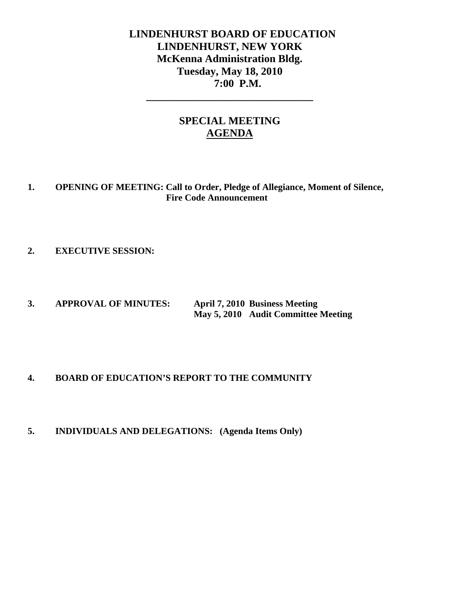# **LINDENHURST BOARD OF EDUCATION LINDENHURST, NEW YORK McKenna Administration Bldg. Tuesday, May 18, 2010 7:00 P.M.**

# **SPECIAL MEETING AGENDA**

**\_\_\_\_\_\_\_\_\_\_\_\_\_\_\_\_\_\_\_\_\_\_\_\_\_\_\_\_\_\_\_** 

**1. OPENING OF MEETING: Call to Order, Pledge of Allegiance, Moment of Silence, Fire Code Announcement** 

**2. EXECUTIVE SESSION:** 

**3. APPROVAL OF MINUTES: April 7, 2010 Business Meeting May 5, 2010 Audit Committee Meeting** 

# **4. BOARD OF EDUCATION'S REPORT TO THE COMMUNITY**

**5. INDIVIDUALS AND DELEGATIONS: (Agenda Items Only)**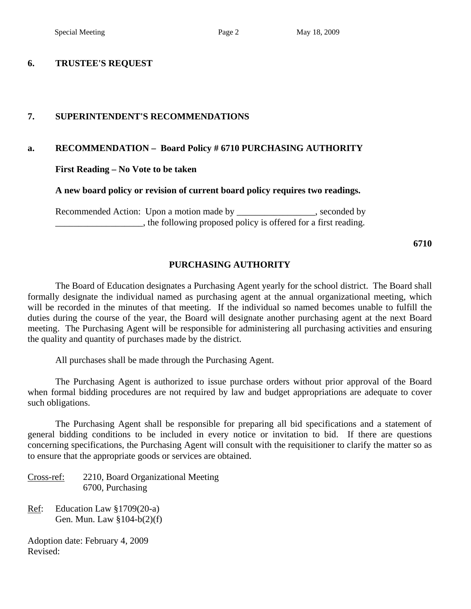### **6. TRUSTEE'S REQUEST**

## **7. SUPERINTENDENT'S RECOMMENDATIONS**

## **a. RECOMMENDATION – Board Policy # 6710 PURCHASING AUTHORITY**

 **First Reading – No Vote to be taken** 

### **A new board policy or revision of current board policy requires two readings.**

Recommended Action: Upon a motion made by \_\_\_\_\_\_\_\_\_\_\_\_\_\_\_, seconded by  $\Box$ , the following proposed policy is offered for a first reading.

**6710** 

### **PURCHASING AUTHORITY**

 The Board of Education designates a Purchasing Agent yearly for the school district. The Board shall formally designate the individual named as purchasing agent at the annual organizational meeting, which will be recorded in the minutes of that meeting. If the individual so named becomes unable to fulfill the duties during the course of the year, the Board will designate another purchasing agent at the next Board meeting. The Purchasing Agent will be responsible for administering all purchasing activities and ensuring the quality and quantity of purchases made by the district.

All purchases shall be made through the Purchasing Agent.

 The Purchasing Agent is authorized to issue purchase orders without prior approval of the Board when formal bidding procedures are not required by law and budget appropriations are adequate to cover such obligations.

 The Purchasing Agent shall be responsible for preparing all bid specifications and a statement of general bidding conditions to be included in every notice or invitation to bid. If there are questions concerning specifications, the Purchasing Agent will consult with the requisitioner to clarify the matter so as to ensure that the appropriate goods or services are obtained.

Cross-ref: 2210, Board Organizational Meeting 6700, Purchasing

Ref: Education Law §1709(20-a) Gen. Mun. Law §104-b(2)(f)

Adoption date: February 4, 2009 Revised: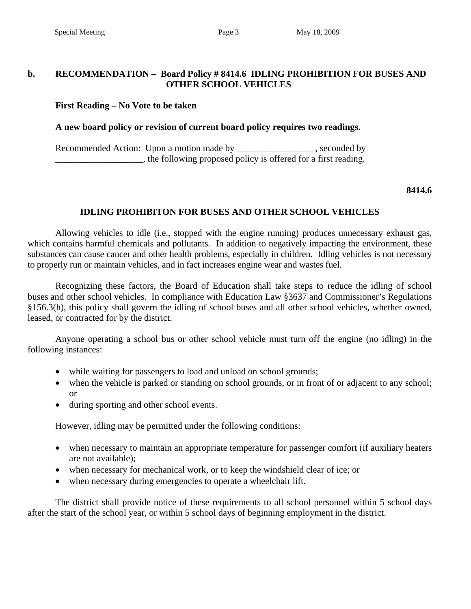# **b. RECOMMENDATION – Board Policy # 8414.6 IDLING PROHIBITION FOR BUSES AND OTHER SCHOOL VEHICLES**

# **First Reading – No Vote to be taken**

# **A new board policy or revision of current board policy requires two readings.**

Recommended Action: Upon a motion made by \_\_\_\_\_\_\_\_\_\_\_\_\_\_\_\_, seconded by \_\_\_\_\_\_\_\_\_\_\_\_\_\_\_\_\_\_\_, the following proposed policy is offered for a first reading.

### **8414.6**

# **IDLING PROHIBITON FOR BUSES AND OTHER SCHOOL VEHICLES**

 Allowing vehicles to idle (i.e., stopped with the engine running) produces unnecessary exhaust gas, which contains harmful chemicals and pollutants. In addition to negatively impacting the environment, these substances can cause cancer and other health problems, especially in children. Idling vehicles is not necessary to properly run or maintain vehicles, and in fact increases engine wear and wastes fuel.

 Recognizing these factors, the Board of Education shall take steps to reduce the idling of school buses and other school vehicles. In compliance with Education Law §3637 and Commissioner's Regulations §156.3(h), this policy shall govern the idling of school buses and all other school vehicles, whether owned, leased, or contracted for by the district.

 Anyone operating a school bus or other school vehicle must turn off the engine (no idling) in the following instances:

- while waiting for passengers to load and unload on school grounds;
- when the vehicle is parked or standing on school grounds, or in front of or adjacent to any school; or
- during sporting and other school events.

However, idling may be permitted under the following conditions:

- when necessary to maintain an appropriate temperature for passenger comfort (if auxiliary heaters are not available);
- when necessary for mechanical work, or to keep the windshield clear of ice; or
- when necessary during emergencies to operate a wheelchair lift.

 The district shall provide notice of these requirements to all school personnel within 5 school days after the start of the school year, or within 5 school days of beginning employment in the district.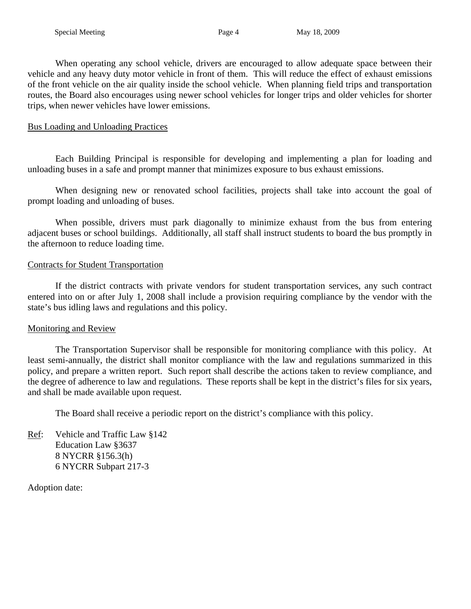When operating any school vehicle, drivers are encouraged to allow adequate space between their vehicle and any heavy duty motor vehicle in front of them. This will reduce the effect of exhaust emissions of the front vehicle on the air quality inside the school vehicle. When planning field trips and transportation routes, the Board also encourages using newer school vehicles for longer trips and older vehicles for shorter trips, when newer vehicles have lower emissions.

# Bus Loading and Unloading Practices

 Each Building Principal is responsible for developing and implementing a plan for loading and unloading buses in a safe and prompt manner that minimizes exposure to bus exhaust emissions.

 When designing new or renovated school facilities, projects shall take into account the goal of prompt loading and unloading of buses.

 When possible, drivers must park diagonally to minimize exhaust from the bus from entering adjacent buses or school buildings. Additionally, all staff shall instruct students to board the bus promptly in the afternoon to reduce loading time.

# Contracts for Student Transportation

 If the district contracts with private vendors for student transportation services, any such contract entered into on or after July 1, 2008 shall include a provision requiring compliance by the vendor with the state's bus idling laws and regulations and this policy.

# Monitoring and Review

 The Transportation Supervisor shall be responsible for monitoring compliance with this policy. At least semi-annually, the district shall monitor compliance with the law and regulations summarized in this policy, and prepare a written report. Such report shall describe the actions taken to review compliance, and the degree of adherence to law and regulations. These reports shall be kept in the district's files for six years, and shall be made available upon request.

The Board shall receive a periodic report on the district's compliance with this policy.

Ref: Vehicle and Traffic Law §142 Education Law §3637 8 NYCRR §156.3(h) 6 NYCRR Subpart 217-3

Adoption date: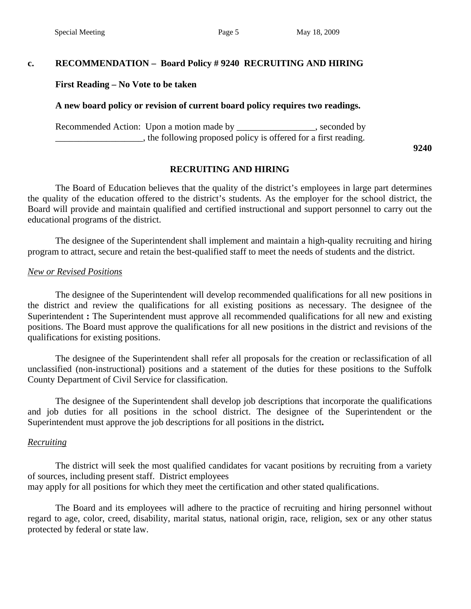# **c. RECOMMENDATION – Board Policy # 9240 RECRUITING AND HIRING**

### **First Reading – No Vote to be taken**

### **A new board policy or revision of current board policy requires two readings.**

Recommended Action: Upon a motion made by \_\_\_\_\_\_\_\_\_\_\_\_\_\_\_, seconded by **Example 2.1**, the following proposed policy is offered for a first reading.

**9240** 

## **RECRUITING AND HIRING**

The Board of Education believes that the quality of the district's employees in large part determines the quality of the education offered to the district's students. As the employer for the school district, the Board will provide and maintain qualified and certified instructional and support personnel to carry out the educational programs of the district.

The designee of the Superintendent shall implement and maintain a high-quality recruiting and hiring program to attract, secure and retain the best-qualified staff to meet the needs of students and the district.

### *New or Revised Positions*

The designee of the Superintendent will develop recommended qualifications for all new positions in the district and review the qualifications for all existing positions as necessary. The designee of the Superintendent **:** The Superintendent must approve all recommended qualifications for all new and existing positions. The Board must approve the qualifications for all new positions in the district and revisions of the qualifications for existing positions.

The designee of the Superintendent shall refer all proposals for the creation or reclassification of all unclassified (non-instructional) positions and a statement of the duties for these positions to the Suffolk County Department of Civil Service for classification.

The designee of the Superintendent shall develop job descriptions that incorporate the qualifications and job duties for all positions in the school district. The designee of the Superintendent or the Superintendent must approve the job descriptions for all positions in the district**.**

### *Recruiting*

The district will seek the most qualified candidates for vacant positions by recruiting from a variety of sources, including present staff. District employees may apply for all positions for which they meet the certification and other stated qualifications.

 The Board and its employees will adhere to the practice of recruiting and hiring personnel without regard to age, color, creed, disability, marital status, national origin, race, religion, sex or any other status protected by federal or state law.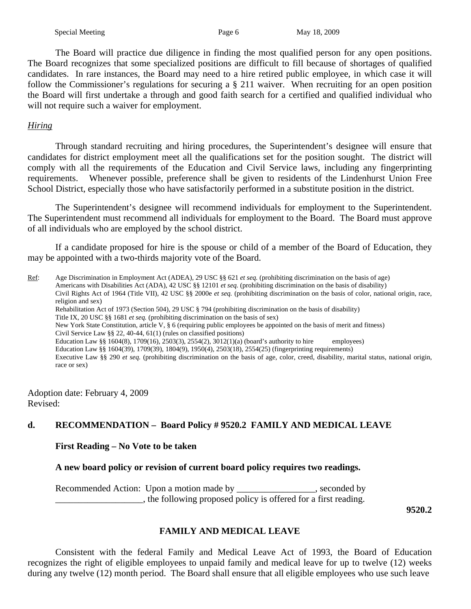The Board will practice due diligence in finding the most qualified person for any open positions. The Board recognizes that some specialized positions are difficult to fill because of shortages of qualified candidates. In rare instances, the Board may need to a hire retired public employee, in which case it will follow the Commissioner's regulations for securing a § 211 waiver. When recruiting for an open position the Board will first undertake a through and good faith search for a certified and qualified individual who will not require such a waiver for employment.

# *Hiring*

Through standard recruiting and hiring procedures, the Superintendent's designee will ensure that candidates for district employment meet all the qualifications set for the position sought. The district will comply with all the requirements of the Education and Civil Service laws, including any fingerprinting requirements. Whenever possible, preference shall be given to residents of the Lindenhurst Union Free School District, especially those who have satisfactorily performed in a substitute position in the district.

The Superintendent's designee will recommend individuals for employment to the Superintendent. The Superintendent must recommend all individuals for employment to the Board. The Board must approve of all individuals who are employed by the school district.

If a candidate proposed for hire is the spouse or child of a member of the Board of Education, they may be appointed with a two-thirds majority vote of the Board.

Ref: Age Discrimination in Employment Act (ADEA), 29 USC §§ 621 *et seq.* (prohibiting discrimination on the basis of age) Americans with Disabilities Act (ADA), 42 USC §§ 12101 *et seq.* (prohibiting discrimination on the basis of disability) Civil Rights Act of 1964 (Title VII), 42 USC §§ 2000e *et seq.* (prohibiting discrimination on the basis of color, national origin, race, religion and sex) Rehabilitation Act of 1973 (Section 504), 29 USC § 794 (prohibiting discrimination on the basis of disability) Title IX, 20 USC §§ 1681 *et seq.* (prohibiting discrimination on the basis of sex) New York State Constitution, article V, § 6 (requiring public employees be appointed on the basis of merit and fitness) Civil Service Law §§ 22, 40-44, 61(1) (rules on classified positions) Education Law §§ 1604(8), 1709(16), 2503(3), 2554(2), 3012(1)(a) (board's authority to hire employees) Education Law §§ 1604(39), 1709(39), 1804(9), 1950(4), 2503(18), 2554(25) (fingerprinting requirements) Executive Law §§ 290 *et seq.* (prohibiting discrimination on the basis of age, color, creed, disability, marital status, national origin, race or sex)

Adoption date: February 4, 2009 Revised:

# **d. RECOMMENDATION – Board Policy # 9520.2 FAMILY AND MEDICAL LEAVE**

 **First Reading – No Vote to be taken** 

## **A new board policy or revision of current board policy requires two readings.**

Recommended Action: Upon a motion made by \_\_\_\_\_\_\_\_\_\_\_\_\_\_\_\_, seconded by \_\_\_\_\_\_\_\_\_\_\_\_\_\_\_\_\_\_\_, the following proposed policy is offered for a first reading.

 **9520.2** 

# **FAMILY AND MEDICAL LEAVE**

Consistent with the federal Family and Medical Leave Act of 1993, the Board of Education recognizes the right of eligible employees to unpaid family and medical leave for up to twelve (12) weeks during any twelve (12) month period. The Board shall ensure that all eligible employees who use such leave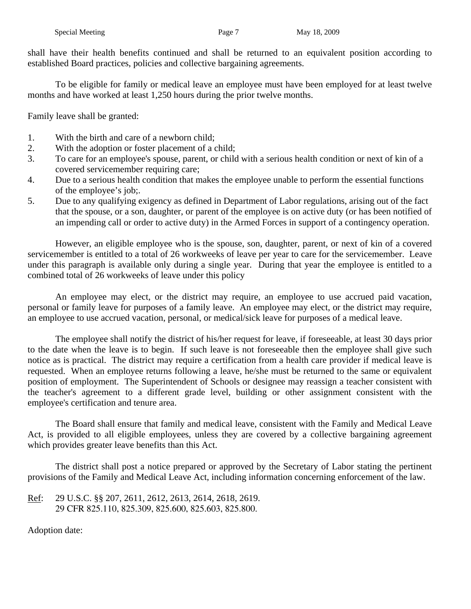shall have their health benefits continued and shall be returned to an equivalent position according to established Board practices, policies and collective bargaining agreements.

 To be eligible for family or medical leave an employee must have been employed for at least twelve months and have worked at least 1,250 hours during the prior twelve months.

Family leave shall be granted:

- 1. With the birth and care of a newborn child;
- 2. With the adoption or foster placement of a child;
- 3. To care for an employee's spouse, parent, or child with a serious health condition or next of kin of a covered servicemember requiring care;
- 4. Due to a serious health condition that makes the employee unable to perform the essential functions of the employee's job;.
- 5. Due to any qualifying exigency as defined in Department of Labor regulations, arising out of the fact that the spouse, or a son, daughter, or parent of the employee is on active duty (or has been notified of an impending call or order to active duty) in the Armed Forces in support of a contingency operation.

 However, an eligible employee who is the spouse, son, daughter, parent, or next of kin of a covered servicemember is entitled to a total of 26 workweeks of leave per year to care for the servicemember. Leave under this paragraph is available only during a single year. During that year the employee is entitled to a combined total of 26 workweeks of leave under this policy

An employee may elect, or the district may require, an employee to use accrued paid vacation, personal or family leave for purposes of a family leave. An employee may elect, or the district may require, an employee to use accrued vacation, personal, or medical/sick leave for purposes of a medical leave.

The employee shall notify the district of his/her request for leave, if foreseeable, at least 30 days prior to the date when the leave is to begin. If such leave is not foreseeable then the employee shall give such notice as is practical. The district may require a certification from a health care provider if medical leave is requested. When an employee returns following a leave, he/she must be returned to the same or equivalent position of employment. The Superintendent of Schools or designee may reassign a teacher consistent with the teacher's agreement to a different grade level, building or other assignment consistent with the employee's certification and tenure area.

 The Board shall ensure that family and medical leave, consistent with the Family and Medical Leave Act, is provided to all eligible employees, unless they are covered by a collective bargaining agreement which provides greater leave benefits than this Act.

The district shall post a notice prepared or approved by the Secretary of Labor stating the pertinent provisions of the Family and Medical Leave Act, including information concerning enforcement of the law.

Ref: 29 U.S.C. §§ 207, 2611, 2612, 2613, 2614, 2618, 2619. 29 CFR 825.110, 825.309, 825.600, 825.603, 825.800.

Adoption date: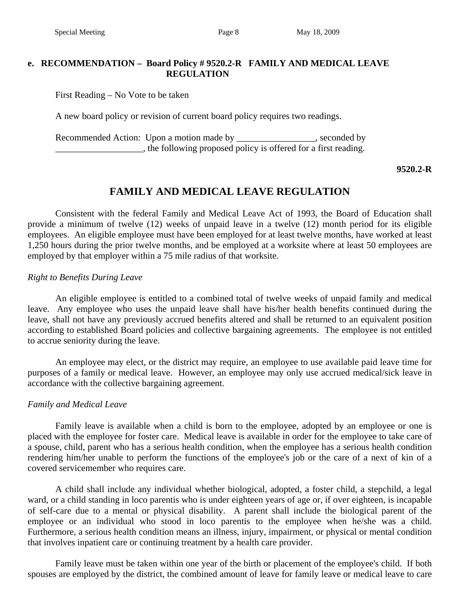# **e. RECOMMENDATION – Board Policy # 9520.2-R FAMILY AND MEDICAL LEAVE REGULATION**

First Reading – No Vote to be taken

A new board policy or revision of current board policy requires two readings.

Recommended Action: Upon a motion made by \_\_\_\_\_\_\_\_\_\_\_\_\_\_\_, seconded by  $\Box$ , the following proposed policy is offered for a first reading.

## **9520.2-R**

# **FAMILY AND MEDICAL LEAVE REGULATION**

Consistent with the federal Family and Medical Leave Act of 1993, the Board of Education shall provide a minimum of twelve (12) weeks of unpaid leave in a twelve (12) month period for its eligible employees. An eligible employee must have been employed for at least twelve months, have worked at least 1,250 hours during the prior twelve months, and be employed at a worksite where at least 50 employees are employed by that employer within a 75 mile radius of that worksite.

# *Right to Benefits During Leave*

 An eligible employee is entitled to a combined total of twelve weeks of unpaid family and medical leave. Any employee who uses the unpaid leave shall have his/her health benefits continued during the leave, shall not have any previously accrued benefits altered and shall be returned to an equivalent position according to established Board policies and collective bargaining agreements. The employee is not entitled to accrue seniority during the leave.

 An employee may elect, or the district may require, an employee to use available paid leave time for purposes of a family or medical leave. However, an employee may only use accrued medical/sick leave in accordance with the collective bargaining agreement.

## *Family and Medical Leave*

 Family leave is available when a child is born to the employee, adopted by an employee or one is placed with the employee for foster care. Medical leave is available in order for the employee to take care of a spouse, child, parent who has a serious health condition, when the employee has a serious health condition rendering him/her unable to perform the functions of the employee's job or the care of a next of kin of a covered servicemember who requires care.

 A child shall include any individual whether biological, adopted, a foster child, a stepchild, a legal ward, or a child standing in loco parentis who is under eighteen years of age or, if over eighteen, is incapable of self-care due to a mental or physical disability. A parent shall include the biological parent of the employee or an individual who stood in loco parentis to the employee when he/she was a child. Furthermore, a serious health condition means an illness, injury, impairment, or physical or mental condition that involves inpatient care or continuing treatment by a health care provider.

 Family leave must be taken within one year of the birth or placement of the employee's child. If both spouses are employed by the district, the combined amount of leave for family leave or medical leave to care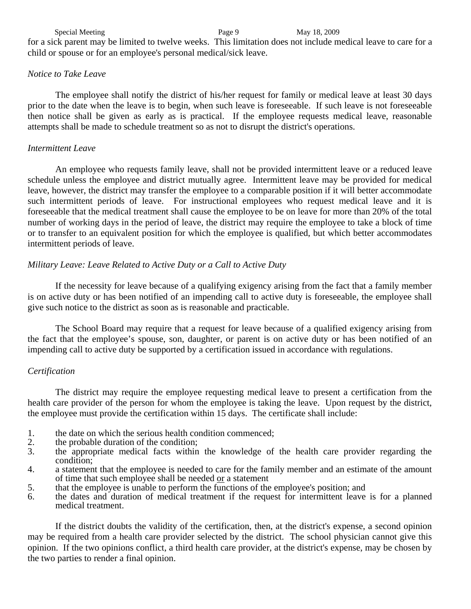Special Meeting Page 9 May 18, 2009

for a sick parent may be limited to twelve weeks. This limitation does not include medical leave to care for a child or spouse or for an employee's personal medical/sick leave.

### *Notice to Take Leave*

 The employee shall notify the district of his/her request for family or medical leave at least 30 days prior to the date when the leave is to begin, when such leave is foreseeable. If such leave is not foreseeable then notice shall be given as early as is practical. If the employee requests medical leave, reasonable attempts shall be made to schedule treatment so as not to disrupt the district's operations.

## *Intermittent Leave*

 An employee who requests family leave, shall not be provided intermittent leave or a reduced leave schedule unless the employee and district mutually agree. Intermittent leave may be provided for medical leave, however, the district may transfer the employee to a comparable position if it will better accommodate such intermittent periods of leave. For instructional employees who request medical leave and it is foreseeable that the medical treatment shall cause the employee to be on leave for more than 20% of the total number of working days in the period of leave, the district may require the employee to take a block of time or to transfer to an equivalent position for which the employee is qualified, but which better accommodates intermittent periods of leave.

# *Military Leave: Leave Related to Active Duty or a Call to Active Duty*

 If the necessity for leave because of a qualifying exigency arising from the fact that a family member is on active duty or has been notified of an impending call to active duty is foreseeable, the employee shall give such notice to the district as soon as is reasonable and practicable.

 The School Board may require that a request for leave because of a qualified exigency arising from the fact that the employee's spouse, son, daughter, or parent is on active duty or has been notified of an impending call to active duty be supported by a certification issued in accordance with regulations.

## *Certification*

 The district may require the employee requesting medical leave to present a certification from the health care provider of the person for whom the employee is taking the leave. Upon request by the district, the employee must provide the certification within 15 days. The certificate shall include:

- 1. the date on which the serious health condition commenced;<br>2. the probable duration of the condition;
- 2. the probable duration of the condition;
- 3. the appropriate medical facts within the knowledge of the health care provider regarding the condition;
- 4. a statement that the employee is needed to care for the family member and an estimate of the amount of time that such employee shall be needed or a statement
- 5. that the employee is unable to perform the functions of the employee's position; and
- 6. the dates and duration of medical treatment if the request for intermittent leave is for a planned medical treatment.

If the district doubts the validity of the certification, then, at the district's expense, a second opinion may be required from a health care provider selected by the district. The school physician cannot give this opinion. If the two opinions conflict, a third health care provider, at the district's expense, may be chosen by the two parties to render a final opinion.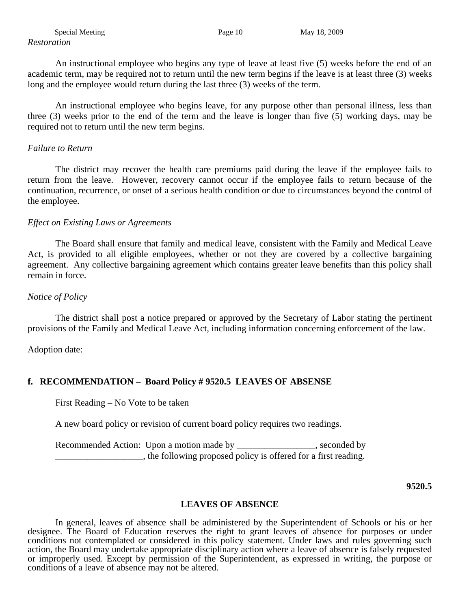An instructional employee who begins any type of leave at least five (5) weeks before the end of an academic term, may be required not to return until the new term begins if the leave is at least three (3) weeks long and the employee would return during the last three (3) weeks of the term.

An instructional employee who begins leave, for any purpose other than personal illness, less than three (3) weeks prior to the end of the term and the leave is longer than five (5) working days, may be required not to return until the new term begins.

# *Failure to Return*

 The district may recover the health care premiums paid during the leave if the employee fails to return from the leave. However, recovery cannot occur if the employee fails to return because of the continuation, recurrence, or onset of a serious health condition or due to circumstances beyond the control of the employee.

## *Effect on Existing Laws or Agreements*

 The Board shall ensure that family and medical leave, consistent with the Family and Medical Leave Act, is provided to all eligible employees, whether or not they are covered by a collective bargaining agreement. Any collective bargaining agreement which contains greater leave benefits than this policy shall remain in force.

# *Notice of Policy*

 The district shall post a notice prepared or approved by the Secretary of Labor stating the pertinent provisions of the Family and Medical Leave Act, including information concerning enforcement of the law.

Adoption date:

# **f. RECOMMENDATION – Board Policy # 9520.5 LEAVES OF ABSENSE**

First Reading – No Vote to be taken

A new board policy or revision of current board policy requires two readings.

Recommended Action: Upon a motion made by seconded by seconded by  $\Box$ , the following proposed policy is offered for a first reading.

 **9520.5** 

## **LEAVES OF ABSENCE**

 In general, leaves of absence shall be administered by the Superintendent of Schools or his or her designee. The Board of Education reserves the right to grant leaves of absence for purposes or under conditions not contemplated or considered in this policy statement. Under laws and rules governing such action, the Board may undertake appropriate disciplinary action where a leave of absence is falsely requested or improperly used. Except by permission of the Superintendent, as expressed in writing, the purpose or conditions of a leave of absence may not be altered.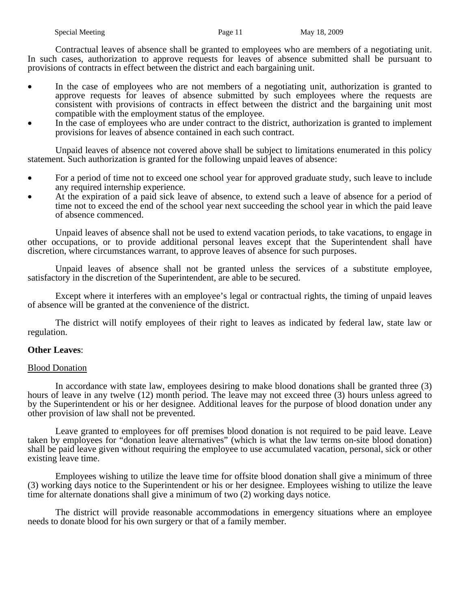Contractual leaves of absence shall be granted to employees who are members of a negotiating unit. In such cases, authorization to approve requests for leaves of absence submitted shall be pursuant to provisions of contracts in effect between the district and each bargaining unit.

- In the case of employees who are not members of a negotiating unit, authorization is granted to approve requests for leaves of absence submitted by such employees where the requests are consistent with provisions of contracts in effect between the district and the bargaining unit most compatible with the employment status of the employee.
- In the case of employees who are under contract to the district, authorization is granted to implement provisions for leaves of absence contained in each such contract.

 Unpaid leaves of absence not covered above shall be subject to limitations enumerated in this policy statement. Such authorization is granted for the following unpaid leaves of absence:

- For a period of time not to exceed one school year for approved graduate study, such leave to include any required internship experience.
- At the expiration of a paid sick leave of absence, to extend such a leave of absence for a period of time not to exceed the end of the school year next succeeding the school year in which the paid leave of absence commenced.

 Unpaid leaves of absence shall not be used to extend vacation periods, to take vacations, to engage in other occupations, or to provide additional personal leaves except that the Superintendent shall have discretion, where circumstances warrant, to approve leaves of absence for such purposes.

 Unpaid leaves of absence shall not be granted unless the services of a substitute employee, satisfactory in the discretion of the Superintendent, are able to be secured.

 Except where it interferes with an employee's legal or contractual rights, the timing of unpaid leaves of absence will be granted at the convenience of the district.

 The district will notify employees of their right to leaves as indicated by federal law, state law or regulation.

### **Other Leaves**:

### Blood Donation

In accordance with state law, employees desiring to make blood donations shall be granted three (3) hours of leave in any twelve (12) month period. The leave may not exceed three (3) hours unless agreed to by the Superintendent or his or her designee. Additional leaves for the purpose of blood donation under any other provision of law shall not be prevented.

Leave granted to employees for off premises blood donation is not required to be paid leave. Leave taken by employees for "donation leave alternatives" (which is what the law terms on-site blood donation) shall be paid leave given without requiring the employee to use accumulated vacation, personal, sick or other existing leave time.

Employees wishing to utilize the leave time for offsite blood donation shall give a minimum of three (3) working days notice to the Superintendent or his or her designee. Employees wishing to utilize the leave time for alternate donations shall give a minimum of two (2) working days notice.

The district will provide reasonable accommodations in emergency situations where an employee needs to donate blood for his own surgery or that of a family member.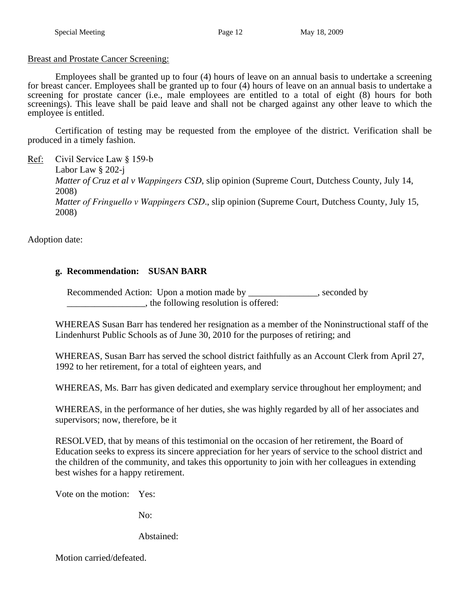## Breast and Prostate Cancer Screening:

Employees shall be granted up to four (4) hours of leave on an annual basis to undertake a screening for breast cancer. Employees shall be granted up to four (4) hours of leave on an annual basis to undertake a screening for prostate cancer (i.e., male employees are entitled to a total of eight (8) hours for both screenings). This leave shall be paid leave and shall not be charged against any other leave to which the employee is entitled.

 Certification of testing may be requested from the employee of the district. Verification shall be produced in a timely fashion.

Ref: Civil Service Law § 159-b

Labor Law § 202-j *Matter of Cruz et al v Wappingers CSD*, slip opinion (Supreme Court, Dutchess County, July 14, 2008) *Matter of Fringuello v Wappingers CSD*., slip opinion (Supreme Court, Dutchess County, July 15, 2008)

Adoption date:

# **g. Recommendation: SUSAN BARR**

Recommended Action: Upon a motion made by \_\_\_\_\_\_\_\_\_\_\_\_\_\_, seconded by \_\_\_\_\_\_\_\_\_\_\_\_\_\_\_\_\_, the following resolution is offered:

 WHEREAS Susan Barr has tendered her resignation as a member of the Noninstructional staff of the Lindenhurst Public Schools as of June 30, 2010 for the purposes of retiring; and

 WHEREAS, Susan Barr has served the school district faithfully as an Account Clerk from April 27, 1992 to her retirement, for a total of eighteen years, and

WHEREAS, Ms. Barr has given dedicated and exemplary service throughout her employment; and

 WHEREAS, in the performance of her duties, she was highly regarded by all of her associates and supervisors; now, therefore, be it

 RESOLVED, that by means of this testimonial on the occasion of her retirement, the Board of Education seeks to express its sincere appreciation for her years of service to the school district and the children of the community, and takes this opportunity to join with her colleagues in extending best wishes for a happy retirement.

Vote on the motion: Yes:

No:

Abstained:

Motion carried/defeated.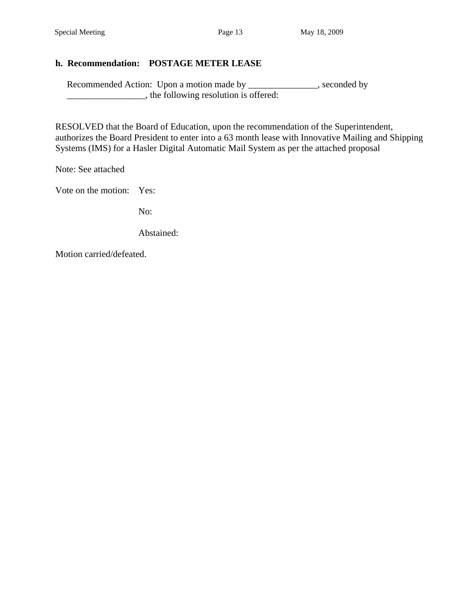# **h. Recommendation: POSTAGE METER LEASE**

Recommended Action: Upon a motion made by \_\_\_\_\_\_\_\_\_\_\_\_, seconded by \_\_\_\_\_\_\_\_\_\_\_\_\_\_\_\_\_, the following resolution is offered:

 RESOLVED that the Board of Education, upon the recommendation of the Superintendent, authorizes the Board President to enter into a 63 month lease with Innovative Mailing and Shipping Systems (IMS) for a Hasler Digital Automatic Mail System as per the attached proposal

Note: See attached

Vote on the motion: Yes:

No:

Abstained:

Motion carried/defeated.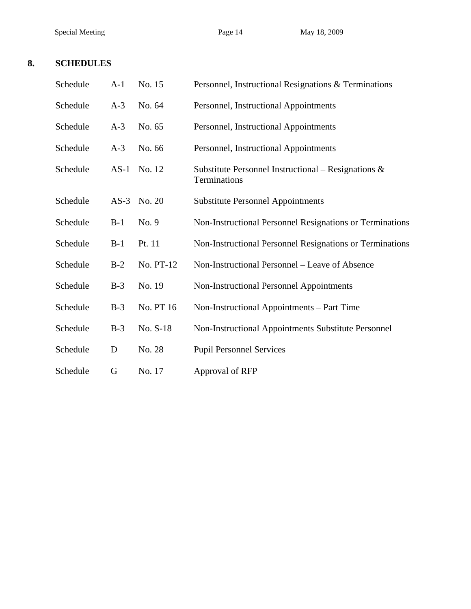Special Meeting Page 14 May 18, 2009

# **8. SCHEDULES**

| Schedule | $A-1$  | No. 15    | Personnel, Instructional Resignations & Terminations                   |
|----------|--------|-----------|------------------------------------------------------------------------|
| Schedule | $A-3$  | No. 64    | Personnel, Instructional Appointments                                  |
| Schedule | $A-3$  | No. 65    | Personnel, Instructional Appointments                                  |
| Schedule | $A-3$  | No. 66    | Personnel, Instructional Appointments                                  |
| Schedule | $AS-1$ | No. 12    | Substitute Personnel Instructional – Resignations $\&$<br>Terminations |
| Schedule | $AS-3$ | No. 20    | <b>Substitute Personnel Appointments</b>                               |
| Schedule | $B-1$  | No. 9     | Non-Instructional Personnel Resignations or Terminations               |
| Schedule | $B-1$  | Pt. 11    | Non-Instructional Personnel Resignations or Terminations               |
| Schedule | $B-2$  | No. PT-12 | Non-Instructional Personnel – Leave of Absence                         |
| Schedule | $B-3$  | No. 19    | Non-Instructional Personnel Appointments                               |
| Schedule | $B-3$  | No. PT 16 | Non-Instructional Appointments – Part Time                             |
| Schedule | $B-3$  | No. S-18  | Non-Instructional Appointments Substitute Personnel                    |
| Schedule | D      | No. 28    | <b>Pupil Personnel Services</b>                                        |
| Schedule | G      | No. 17    | Approval of RFP                                                        |